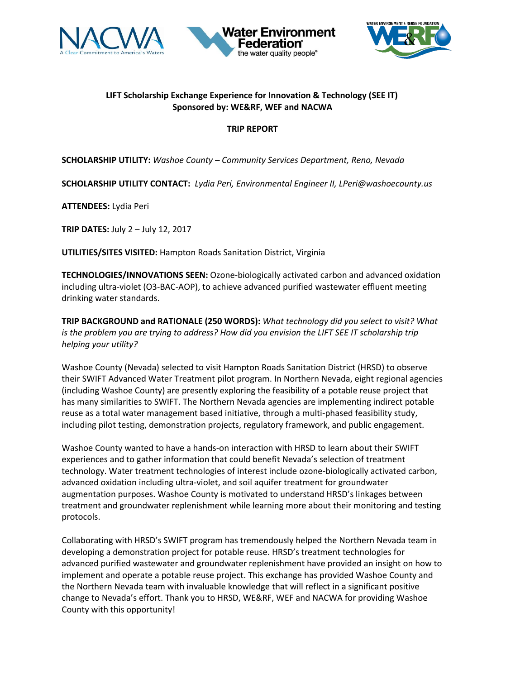





## **LIFT Scholarship Exchange Experience for Innovation & Technology (SEE IT) Sponsored by: WE&RF, WEF and NACWA**

## **TRIP REPORT**

**SCHOLARSHIP UTILITY:** *Washoe County – Community Services Department, Reno, Nevada*

**SCHOLARSHIP UTILITY CONTACT:** *Lydia Peri, Environmental Engineer II, LPeri@washoecounty.us*

**ATTENDEES:** Lydia Peri

**TRIP DATES:** July 2 – July 12, 2017

**UTILITIES/SITES VISITED:** Hampton Roads Sanitation District, Virginia

**TECHNOLOGIES/INNOVATIONS SEEN:** Ozone-biologically activated carbon and advanced oxidation including ultra-violet (O3-BAC-AOP), to achieve advanced purified wastewater effluent meeting drinking water standards.

**TRIP BACKGROUND and RATIONALE (250 WORDS):** *What technology did you select to visit? What is the problem you are trying to address? How did you envision the LIFT SEE IT scholarship trip helping your utility?* 

Washoe County (Nevada) selected to visit Hampton Roads Sanitation District (HRSD) to observe their SWIFT Advanced Water Treatment pilot program. In Northern Nevada, eight regional agencies (including Washoe County) are presently exploring the feasibility of a potable reuse project that has many similarities to SWIFT. The Northern Nevada agencies are implementing indirect potable reuse as a total water management based initiative, through a multi-phased feasibility study, including pilot testing, demonstration projects, regulatory framework, and public engagement.

Washoe County wanted to have a hands-on interaction with HRSD to learn about their SWIFT experiences and to gather information that could benefit Nevada's selection of treatment technology. Water treatment technologies of interest include ozone-biologically activated carbon, advanced oxidation including ultra-violet, and soil aquifer treatment for groundwater augmentation purposes. Washoe County is motivated to understand HRSD's linkages between treatment and groundwater replenishment while learning more about their monitoring and testing protocols.

Collaborating with HRSD's SWIFT program has tremendously helped the Northern Nevada team in developing a demonstration project for potable reuse. HRSD's treatment technologies for advanced purified wastewater and groundwater replenishment have provided an insight on how to implement and operate a potable reuse project. This exchange has provided Washoe County and the Northern Nevada team with invaluable knowledge that will reflect in a significant positive change to Nevada's effort. Thank you to HRSD, WE&RF, WEF and NACWA for providing Washoe County with this opportunity!